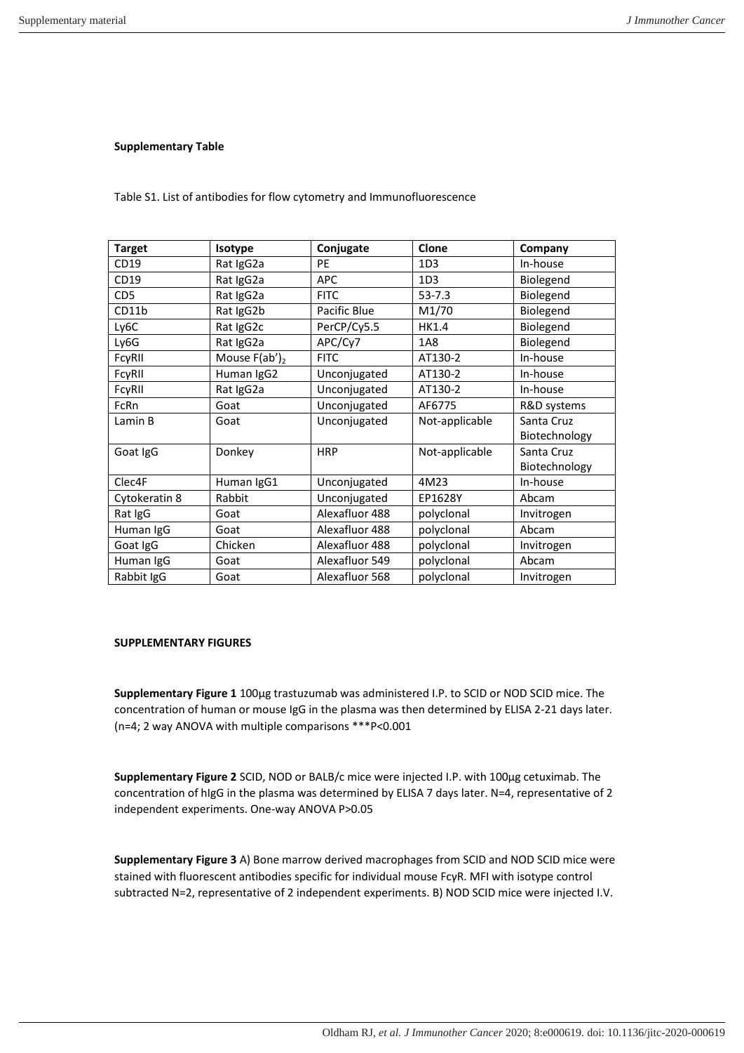## **Supplementary Table**

Table S1. List of antibodies for flow cytometry and Immunofluorescence

| <b>Target</b>   | Isotype          | Conjugate      | Clone           | Company       |
|-----------------|------------------|----------------|-----------------|---------------|
| CD19            | Rat IgG2a        | <b>PE</b>      | 1D <sub>3</sub> | In-house      |
| CD19            | Rat IgG2a        | <b>APC</b>     | 1D <sub>3</sub> | Biolegend     |
| CD <sub>5</sub> | Rat IgG2a        | <b>FITC</b>    | $53 - 7.3$      | Biolegend     |
| CD11b           | Rat IgG2b        | Pacific Blue   | M1/70           | Biolegend     |
| Ly6C            | Rat IgG2c        | PerCP/Cy5.5    | <b>HK1.4</b>    | Biolegend     |
| Ly6G            | Rat IgG2a        | APC/Cy7        | 1A8             | Biolegend     |
| FcyRII          | Mouse $F(ab')_2$ | <b>FITC</b>    | AT130-2         | In-house      |
| FcyRII          | Human IgG2       | Unconjugated   | AT130-2         | In-house      |
| FcyRII          | Rat IgG2a        | Unconjugated   | AT130-2         | In-house      |
| FcRn            | Goat             | Unconjugated   | AF6775          | R&D systems   |
| Lamin B         | Goat             | Unconjugated   | Not-applicable  | Santa Cruz    |
|                 |                  |                |                 | Biotechnology |
| Goat IgG        | Donkey           | <b>HRP</b>     | Not-applicable  | Santa Cruz    |
|                 |                  |                |                 | Biotechnology |
| Clec4F          | Human IgG1       | Unconjugated   | 4M23            | In-house      |
| Cytokeratin 8   | Rabbit           | Unconjugated   | EP1628Y         | Abcam         |
| Rat IgG         | Goat             | Alexafluor 488 | polyclonal      | Invitrogen    |
| Human IgG       | Goat             | Alexafluor 488 | polyclonal      | Abcam         |
| Goat IgG        | Chicken          | Alexafluor 488 | polyclonal      | Invitrogen    |
| Human IgG       | Goat             | Alexafluor 549 | polyclonal      | Abcam         |
| Rabbit IgG      | Goat             | Alexafluor 568 | polyclonal      | Invitrogen    |

## **SUPPLEMENTARY FIGURES**

**Supplementary Figure 1** 100µg trastuzumab was administered I.P. to SCID or NOD SCID mice. The concentration of human or mouse IgG in the plasma was then determined by ELISA 2-21 days later. (n=4; 2 way ANOVA with multiple comparisons \*\*\*P<0.001

**Supplementary Figure 2** SCID, NOD or BALB/c mice were injected I.P. with 100µg cetuximab. The concentration of hIgG in the plasma was determined by ELISA 7 days later. N=4, representative of 2 independent experiments. One-way ANOVA P>0.05

**Supplementary Figure 3** A) Bone marrow derived macrophages from SCID and NOD SCID mice were stained with fluorescent antibodies specific for individual mouse FcγR. MFI with isotype control subtracted N=2, representative of 2 independent experiments. B) NOD SCID mice were injected I.V.